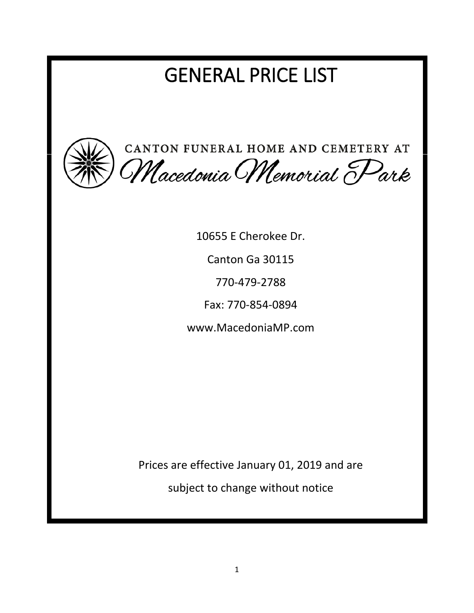# GENERAL PRICE LIST



10655 E Cherokee Dr. Canton Ga 30115 770-479-2788 Fax: 770-854-0894 www.MacedoniaMP.com

Prices are effective January 01, 2019 and are

subject to change without notice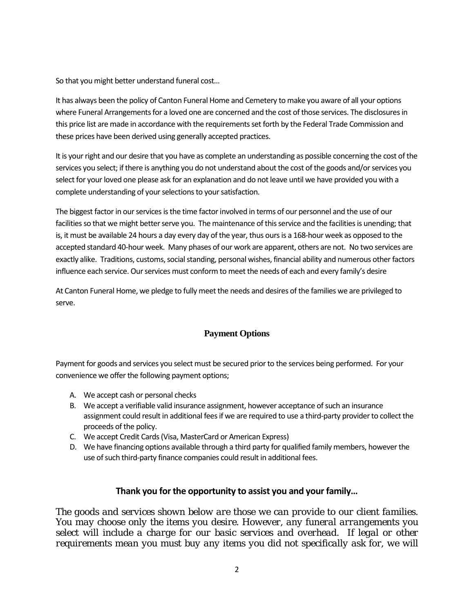So that you might better understand funeral cost…

It has always been the policy of Canton Funeral Home and Cemetery to make you aware of all your options where Funeral Arrangements for a loved one are concerned and the cost of those services. The disclosures in this price list are made in accordance with the requirements set forth by the Federal Trade Commission and these prices have been derived using generally accepted practices.

It is your right and our desire that you have as complete an understanding as possible concerning the cost of the services you select; if there is anything you do not understand about the cost of the goods and/or services you select for your loved one please ask for an explanation and do not leave until we have provided you with a complete understanding of your selections to your satisfaction.

The biggest factor in our services is the time factor involved in terms of our personnel and the use of our facilities so that we might better serve you. The maintenance of this service and the facilities is unending; that is, it must be available 24 hours a day every day of the year, thus ours is a 168-hour week as opposed to the accepted standard 40-hour week. Many phases of our work are apparent, others are not. No two services are exactly alike. Traditions, customs, social standing, personal wishes, financial ability and numerous other factors influence each service. Our services must conform to meet the needs of each and every family's desire

At Canton Funeral Home, we pledge to fully meet the needs and desires of the families we are privileged to serve.

#### **Payment Options**

Payment for goods and services you select must be secured prior to the services being performed. For your convenience we offer the following payment options;

- A. We accept cash or personal checks
- B. We accept a verifiable valid insurance assignment, however acceptance of such an insurance assignment could result in additional fees if we are required to use a third-party provider to collect the proceeds of the policy.
- C. We accept Credit Cards (Visa, MasterCard or American Express)
- D. We have financing options available through a third party for qualified family members, however the use of such third-party finance companies could result in additional fees.

#### **Thank you for the opportunity to assist you and your family…**

*The goods and services shown below are those we can provide to our client families. You may choose only the items you desire. However, any funeral arrangements you select will include a charge for our basic services and overhead. If legal or other requirements mean you must buy any items you did not specifically ask for, we will*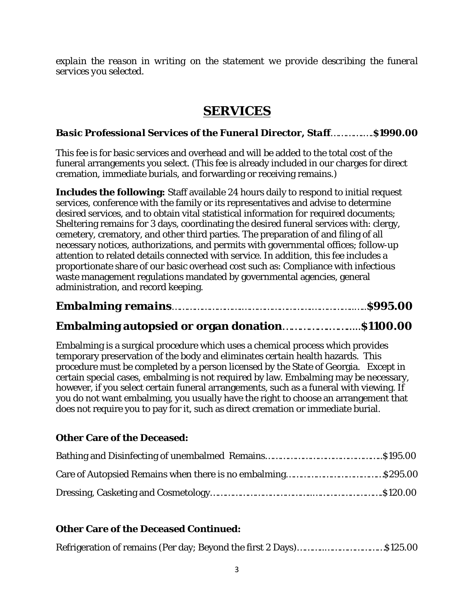*explain the reason in writing on the statement we provide describing the funeral services you selected.*

# **SERVICES**

### *Basic Professional Services of the Funeral Director, Staff*………….….**\$1990.00**

This fee is for basic services and overhead and will be added to the total cost of the funeral arrangements you select. (This fee is already included in our charges for direct cremation, immediate burials, and forwarding or receiving remains.)

**Includes the following:** Staff available 24 hours daily to respond to initial request services, conference with the family or its representatives and advise to determine desired services, and to obtain vital statistical information for required documents; Sheltering remains for 3 days, coordinating the desired funeral services with: clergy, cemetery, crematory, and other third parties. The preparation of and filing of all necessary notices, authorizations, and permits with governmental offices; follow-up attention to related details connected with service. In addition, this fee includes a proportionate share of our basic overhead cost such as: Compliance with infectious waste management regulations mandated by governmental agencies, general administration, and record keeping.

```
Embalming remains……………………….……………………….……………..…..$995.00
```
# **Embalming autopsied or organ donation**…………….…….....**\$1100.00**

Embalming is a surgical procedure which uses a chemical process which provides temporary preservation of the body and eliminates certain health hazards. This procedure must be completed by a person licensed by the State of Georgia. Except in certain special cases, embalming is not required by law. Embalming may be necessary, however, if you select certain funeral arrangements, such as a funeral with viewing. If you do not want embalming, you usually have the right to choose an arrangement that does not require you to pay for it, such as direct cremation or immediate burial.

#### **Other Care of the Deceased:**

## **Other Care of the Deceased Continued:**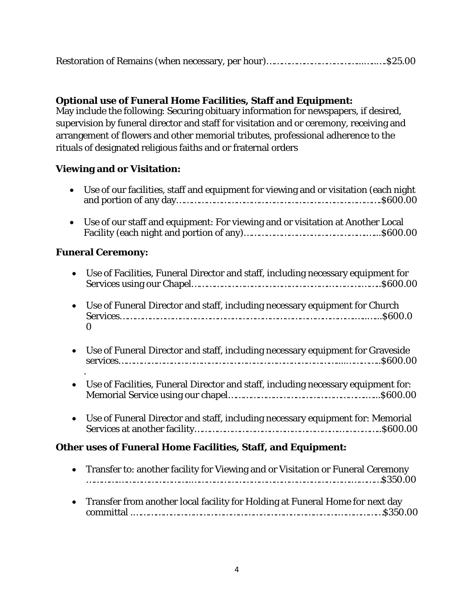|--|--|--|

## **Optional use of Funeral Home Facilities, Staff and Equipment:**

May include the following: Securing obituary information for newspapers, if desired, supervision by funeral director and staff for visitation and or ceremony, receiving and arrangement of flowers and other memorial tributes, professional adherence to the rituals of designated religious faiths and or fraternal orders

## **Viewing and or Visitation:**

| $\bullet$      | Use of our facilities, staff and equipment for viewing and or visitation (each night         |
|----------------|----------------------------------------------------------------------------------------------|
| $\bullet$      | Use of our staff and equipment: For viewing and or visitation at Another Local               |
|                | <b>Funeral Ceremony:</b>                                                                     |
| $\bullet$      | Use of Facilities, Funeral Director and staff, including necessary equipment for             |
| $\bullet$<br>0 | Use of Funeral Director and staff, including necessary equipment for Church                  |
| $\bullet$      | Use of Funeral Director and staff, including necessary equipment for Graveside               |
|                | Use of Facilities, Funeral Director and staff, including necessary equipment for:            |
| $\bullet$      | Use of Funeral Director and staff, including necessary equipment for: Memorial               |
|                | <b>Other uses of Funeral Home Facilities, Staff, and Equipment:</b>                          |
| $\bullet$      | Transfer to: another facility for Viewing and or Visitation or Funeral Ceremony<br>.\$350.00 |

• Transfer from another local facility for Holding at Funeral Home for next day committal .……………………………………………………………………….………………\$350.00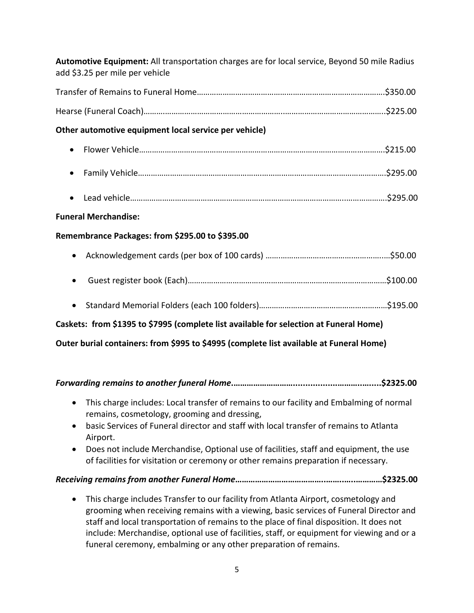| Automotive Equipment: All transportation charges are for local service, Beyond 50 mile Radius<br>add \$3.25 per mile per vehicle |
|----------------------------------------------------------------------------------------------------------------------------------|
|                                                                                                                                  |
|                                                                                                                                  |
| Other automotive equipment local service per vehicle)                                                                            |
| $\bullet$                                                                                                                        |
| $\bullet$                                                                                                                        |
| $\bullet$                                                                                                                        |
| <b>Funeral Merchandise:</b>                                                                                                      |
| Remembrance Packages: from \$295.00 to \$395.00                                                                                  |
|                                                                                                                                  |
| $\bullet$                                                                                                                        |
| $\bullet$                                                                                                                        |
| Caskets: from \$1395 to \$7995 (complete list available for selection at Funeral Home)                                           |
| Outer burial containers: from \$995 to \$4995 (complete list available at Funeral Home)                                          |
|                                                                                                                                  |
|                                                                                                                                  |
| $\bullet$ This charge includes: Local transfer of remains to our facility and Embalming of normal                                |

- $\boldsymbol{s}$  to our facility and Embalming or normal remains, cosmetology, grooming and dressing,
- basic Services of Funeral director and staff with local transfer of remains to Atlanta Airport.
- Does not include Merchandise, Optional use of facilities, staff and equipment, the use of facilities for visitation or ceremony or other remains preparation if necessary.

## *Receiving remains from another Funeral Home***…………………………………..……..…..…………\$2325.00**

• This charge includes Transfer to our facility from Atlanta Airport, cosmetology and grooming when receiving remains with a viewing, basic services of Funeral Director and staff and local transportation of remains to the place of final disposition. It does not include: Merchandise, optional use of facilities, staff, or equipment for viewing and or a funeral ceremony, embalming or any other preparation of remains.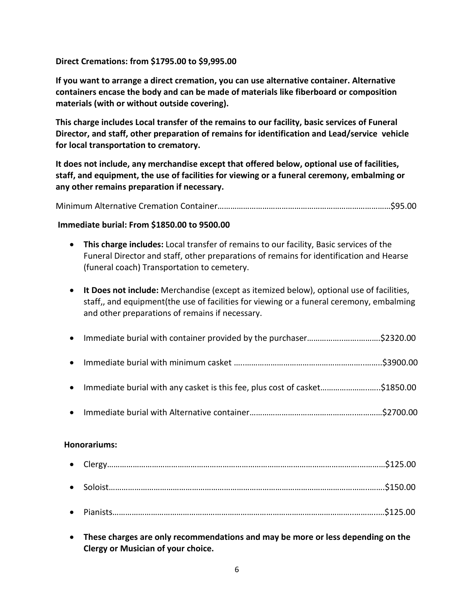#### **Direct Cremations: from \$1795.00 to \$9,995.00**

**If you want to arrange a direct cremation, you can use alternative container. Alternative containers encase the body and can be made of materials like fiberboard or composition materials (with or without outside covering).**

**This charge includes Local transfer of the remains to our facility, basic services of Funeral Director, and staff, other preparation of remains for identification and Lead/service vehicle for local transportation to crematory.**

**It does not include, any merchandise except that offered below, optional use of facilities, staff, and equipment, the use of facilities for viewing or a funeral ceremony, embalming or any other remains preparation if necessary.**

Minimum Alternative Cremation Container………………………………………………………………………\$95.00

#### **Immediate burial: From \$1850.00 to 9500.00**

- **This charge includes:** Local transfer of remains to our facility, Basic services of the Funeral Director and staff, other preparations of remains for identification and Hearse (funeral coach) Transportation to cemetery.
- **It Does not include:** Merchandise (except as itemized below), optional use of facilities, staff,, and equipment(the use of facilities for viewing or a funeral ceremony, embalming and other preparations of remains if necessary.

| • Immediate burial with any casket is this fee, plus cost of casket\$1850.00 |  |
|------------------------------------------------------------------------------|--|
|                                                                              |  |

#### **Honorariums:**

• **These charges are only recommendations and may be more or less depending on the Clergy or Musician of your choice.**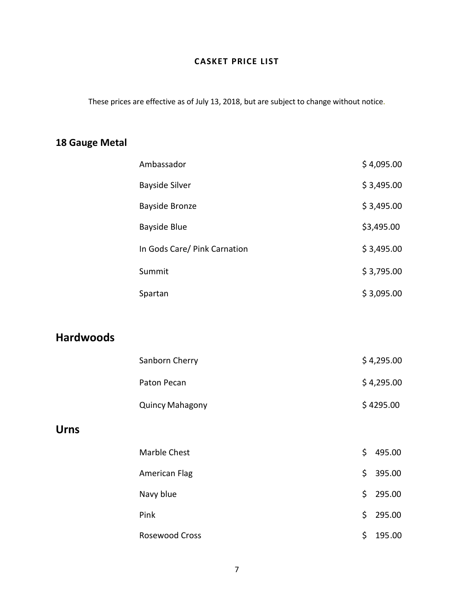## **CASKET PRICE LIST**

These prices are effective as of July 13, 2018, but are subject to change without notice.

# **18 Gauge Metal**

| Ambassador                   | \$4,095.00 |
|------------------------------|------------|
| <b>Bayside Silver</b>        | \$3,495.00 |
| <b>Bayside Bronze</b>        | \$3,495.00 |
| <b>Bayside Blue</b>          | \$3,495.00 |
| In Gods Care/ Pink Carnation | \$3,495.00 |
| Summit                       | \$3,795.00 |
| Spartan                      | \$3,095.00 |

# **Hardwoods**

| Sanborn Cherry         | \$4,295.00 |
|------------------------|------------|
| Paton Pecan            | \$4,295.00 |
| <b>Quincy Mahagony</b> | \$4295.00  |

## **Urns**

| Marble Chest   | \$. | 495.00   |
|----------------|-----|----------|
| American Flag  |     | \$395.00 |
| Navy blue      |     | \$295.00 |
| Pink           |     | \$295.00 |
| Rosewood Cross | Ś.  | 195.00   |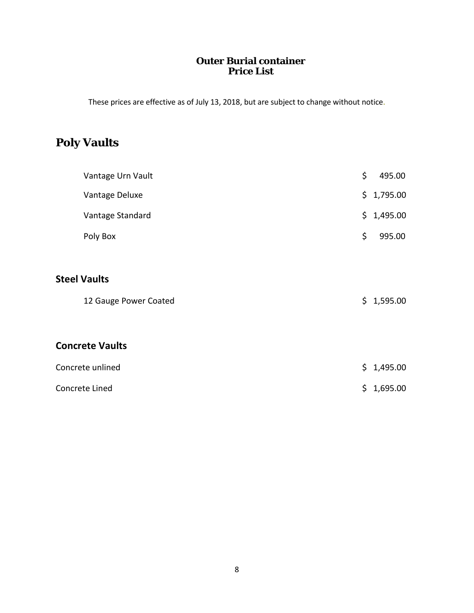## **Outer Burial container Price List**

These prices are effective as of July 13, 2018, but are subject to change without notice.

# **Poly Vaults**

| Vantage Urn Vault      | \$<br>495.00   |
|------------------------|----------------|
| Vantage Deluxe         | \$1,795.00     |
| Vantage Standard       | \$1,495.00     |
| Poly Box               | \$<br>995.00   |
|                        |                |
| <b>Steel Vaults</b>    |                |
| 12 Gauge Power Coated  | \$1,595.00     |
|                        |                |
| <b>Concrete Vaults</b> |                |
| Concrete unlined       | \$1,495.00     |
| Concrete Lined         | \$<br>1,695.00 |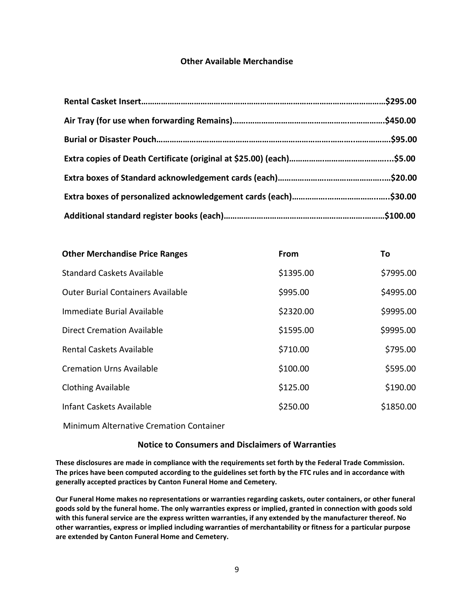#### **Other Available Merchandise**

| <b>Other Merchandise Price Ranges</b>    | From      | Τo        |
|------------------------------------------|-----------|-----------|
| <b>Standard Caskets Available</b>        | \$1395.00 | \$7995.00 |
| <b>Outer Burial Containers Available</b> | \$995.00  | \$4995.00 |
| Immediate Burial Available               | \$2320.00 | \$9995.00 |
| <b>Direct Cremation Available</b>        | \$1595.00 | \$9995.00 |
| <b>Rental Caskets Available</b>          | \$710.00  | \$795.00  |
| <b>Cremation Urns Available</b>          | \$100.00  | \$595.00  |
| <b>Clothing Available</b>                | \$125.00  | \$190.00  |
| Infant Caskets Available                 | \$250.00  | \$1850.00 |
|                                          |           |           |

Minimum Alternative Cremation Container

#### **Notice to Consumers and Disclaimers of Warranties**

**These disclosures are made in compliance with the requirements set forth by the Federal Trade Commission. The prices have been computed according to the guidelines set forth by the FTC rules and in accordance with generally accepted practices by Canton Funeral Home and Cemetery.**

**Our Funeral Home makes no representations or warranties regarding caskets, outer containers, or other funeral goods sold by the funeral home. The only warranties express or implied, granted in connection with goods sold with this funeral service are the express written warranties, if any extended by the manufacturer thereof. No other warranties, express or implied including warranties of merchantability or fitness for a particular purpose are extended by Canton Funeral Home and Cemetery.**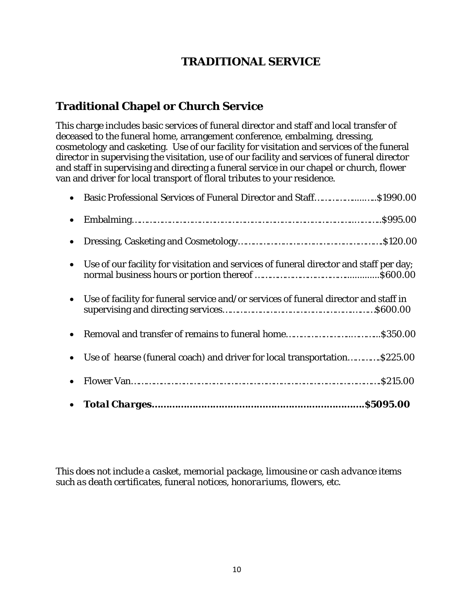# **TRADITIONAL SERVICE**

# **Traditional Chapel or Church Service**

This charge includes basic services of funeral director and staff and local transfer of deceased to the funeral home, arrangement conference, embalming, dressing, cosmetology and casketing. Use of our facility for visitation and services of the funeral director in supervising the visitation, use of our facility and services of funeral director and staff in supervising and directing a funeral service in our chapel or church, flower van and driver for local transport of floral tributes to your residence.

| • Use of hearse (funeral coach) and driver for local transportation\$225.00              |  |
|------------------------------------------------------------------------------------------|--|
|                                                                                          |  |
| • Use of facility for funeral service and/or services of funeral director and staff in   |  |
| • Use of our facility for visitation and services of funeral director and staff per day; |  |
|                                                                                          |  |
|                                                                                          |  |
| • Basic Professional Services of Funeral Director and Staff\$1990.00                     |  |

*This does not include a casket, memorial package, limousine or cash advance items such as death certificates, funeral notices, honorariums, flowers, etc*.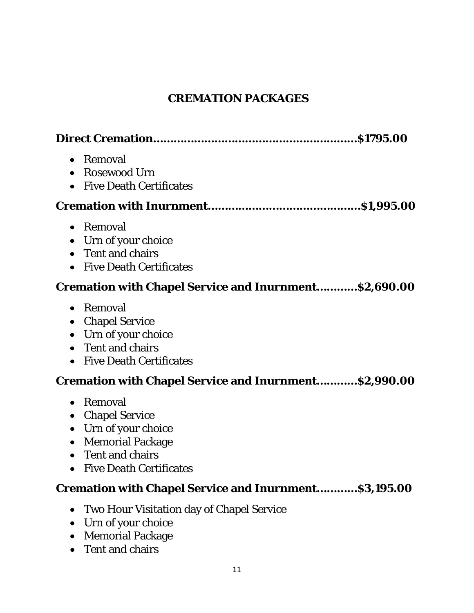# **CREMATION PACKAGES**

| Removal<br>$\bullet$<br><b>Rosewood Urn</b><br><b>Five Death Certificates</b>                                                                                                                           |
|---------------------------------------------------------------------------------------------------------------------------------------------------------------------------------------------------------|
|                                                                                                                                                                                                         |
| Removal<br>$\bullet$<br>• Urn of your choice<br>Tent and chairs<br>$\bullet$<br><b>Five Death Certificates</b><br>$\bullet$                                                                             |
| <b>Cremation with Chapel Service and Inurnment\$2,690.00</b>                                                                                                                                            |
| Removal<br>$\bullet$<br><b>Chapel Service</b><br>$\bullet$<br>Urn of your choice<br>$\bullet$<br>Tent and chairs<br><b>Five Death Certificates</b>                                                      |
| <b>Cremation with Chapel Service and Inurnment \$2,990.00</b>                                                                                                                                           |
| Removal<br>$\bullet$<br><b>Chapel Service</b><br>$\bullet$<br>Urn of your choice<br>$\bullet$<br><b>Memorial Package</b><br>$\bullet$<br>Tent and chairs<br><b>Five Death Certificates</b><br>$\bullet$ |
| <b>Cremation with Chapel Service and Inurnment \$3,195.00</b>                                                                                                                                           |

- Two Hour Visitation day of Chapel Service
- Urn of your choice
- Memorial Package
- Tent and chairs